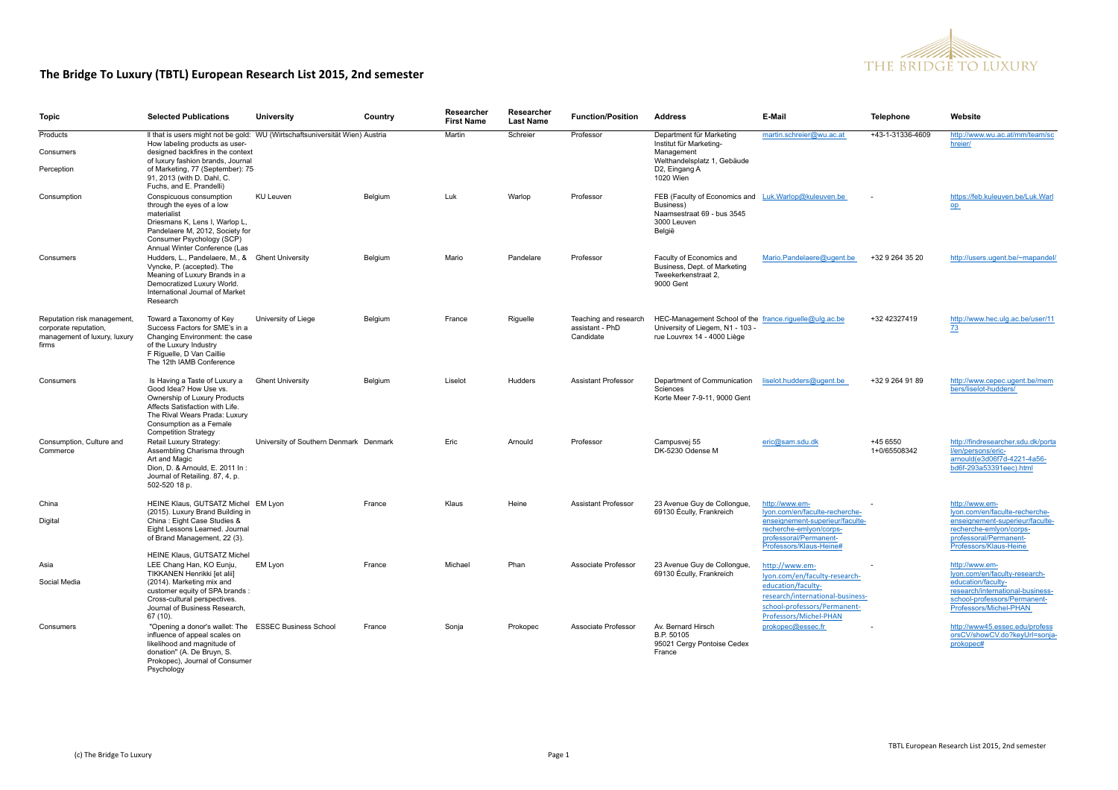

| <b>Topic</b>                                                                                  | <b>Selected Publications</b>                                                                                                                                                                                                         | University                             | Country | Researcher<br><b>First Name</b> | Researcher<br><b>Last Name</b> | <b>Function/Position</b>                              | <b>Address</b>                                                                                                            | E-Mail                                                                                                                                                              | Telephone                | Website                                                                                                                                                             |  |
|-----------------------------------------------------------------------------------------------|--------------------------------------------------------------------------------------------------------------------------------------------------------------------------------------------------------------------------------------|----------------------------------------|---------|---------------------------------|--------------------------------|-------------------------------------------------------|---------------------------------------------------------------------------------------------------------------------------|---------------------------------------------------------------------------------------------------------------------------------------------------------------------|--------------------------|---------------------------------------------------------------------------------------------------------------------------------------------------------------------|--|
| Products<br>Consumers                                                                         | Il that is users might not be gold: WU (Wirtschaftsuniversität Wien) Austria<br>How labeling products as user-<br>designed backfires in the context<br>of luxury fashion brands, Journal                                             |                                        |         | Martin                          | Schreier                       | Professor                                             | Department für Marketing<br>Institut für Marketing-<br>Management<br>Welthandelsplatz 1, Gebäude                          | martin.schreier@wu.ac.at                                                                                                                                            | +43-1-31336-4609         | http://www.wu.ac.at/mm/team/sc<br>hreier/                                                                                                                           |  |
| Perception                                                                                    | of Marketing, 77 (September): 75-<br>91, 2013 (with D. Dahl, C.<br>Fuchs, and E. Prandelli)                                                                                                                                          |                                        |         |                                 |                                |                                                       | D2, Eingang A<br>1020 Wien                                                                                                |                                                                                                                                                                     |                          |                                                                                                                                                                     |  |
| Consumption                                                                                   | Conspicuous consumption<br>through the eyes of a low<br>materialist<br>Driesmans K, Lens I, Warlop L,<br>Pandelaere M, 2012, Society for<br>Consumer Psychology (SCP)<br>Annual Winter Conference (Las                               | KU Leuven                              | Belgium | Luk                             | Warlop                         | Professor                                             | FEB (Faculty of Economics and Luk.Warlop@kuleuven.be<br>Business)<br>Naamsestraat 69 - bus 3545<br>3000 Leuven<br>België  |                                                                                                                                                                     |                          | https://feb.kuleuven.be/Luk.Warl<br>op                                                                                                                              |  |
| Consumers                                                                                     | Hudders, L., Pandelaere, M., & Ghent University<br>Vyncke, P. (accepted). The<br>Meaning of Luxury Brands in a<br>Democratized Luxury World.<br>International Journal of Market<br>Research                                          |                                        | Belgium | Mario                           | Pandelare                      | Professor                                             | Faculty of Economics and<br>Business, Dept. of Marketing<br>Tweekerkenstraat 2,<br>9000 Gent                              | Mario.Pandelaere@ugent.be                                                                                                                                           | +32 9 264 35 20          | http://users.ugent.be/~mapandel/                                                                                                                                    |  |
| Reputation risk management,<br>corporate reputation,<br>management of luxury, luxury<br>firms | Toward a Taxonomy of Key<br>Success Factors for SME's in a<br>Changing Environment: the case<br>of the Luxury Industry<br>F Riquelle, D Van Caillie<br>The 12th IAMB Conference                                                      | University of Liege                    | Belgium | France                          | Riguelle                       | Teaching and research<br>assistant - PhD<br>Candidate | HEC-Management School of the france.riquelle@ulg.ac.be<br>University of Liegem, N1 - 103 -<br>rue Louvrex 14 - 4000 Liège |                                                                                                                                                                     | +32 42327419             | http://www.hec.ulg.ac.be/user/11<br>73                                                                                                                              |  |
| Consumers                                                                                     | Is Having a Taste of Luxury a<br>Good Idea? How Use vs.<br>Ownership of Luxury Products<br>Affects Satisfaction with Life.<br>The Rival Wears Prada: Luxury<br>Consumption as a Female<br><b>Competition Strategy</b>                | <b>Ghent University</b>                | Belgium | Liselot                         | <b>Hudders</b>                 | <b>Assistant Professor</b>                            | Department of Communication<br>Sciences<br>Korte Meer 7-9-11, 9000 Gent                                                   | liselot.hudders@ugent.be                                                                                                                                            | +32 9 264 91 89          | http://www.cepec.ugent.be/mem<br>bers/liselot-hudders/                                                                                                              |  |
| Consumption, Culture and<br>Commerce                                                          | Retail Luxury Strategy:<br>Assembling Charisma through<br>Art and Magic<br>Dion, D. & Arnould, E. 2011 In:<br>Journal of Retailing, 87, 4, p.<br>502-520 18 p.                                                                       | University of Southern Denmark Denmark |         | Eric                            | Arnould                        | Professor                                             | Campusvej 55<br>DK-5230 Odense M                                                                                          | eric@sam.sdu.dk                                                                                                                                                     | +45 6550<br>1+0/65508342 | http://findresearcher.sdu.dk/porta<br>l/en/persons/eric-<br>arnould(e3d06f7d-4221-4a56-<br>bd6f-293a53391eec).html                                                  |  |
| China<br>Digital                                                                              | HEINE Klaus, GUTSATZ Michel EM Lyon<br>(2015). Luxury Brand Building in<br>China: Eight Case Studies &<br>Eight Lessons Learned, Journal<br>of Brand Management, 22 (3).                                                             |                                        | France  | Klaus                           | Heine                          | <b>Assistant Professor</b>                            | 23 Avenue Guy de Collongue,<br>69130 Écully, Frankreich                                                                   | http://www.em-<br>Iyon.com/en/faculte-recherche-<br>enseignement-superieur/faculte-<br>recherche-emlyon/corps-<br>professoral/Permanent-<br>Professors/Klaus-Heine# |                          | http://www.em-<br>Iyon.com/en/faculte-recherche-<br>enseignement-superieur/faculte-<br>recherche-emlyon/corps-<br>professoral/Permanent-<br>Professors/Klaus-Heine  |  |
| Asia<br>Social Media                                                                          | HEINE Klaus, GUTSATZ Michel<br>LEE Chang Han, KO Eunju,<br>TIKKANEN Henrikki [et alii]<br>(2014). Marketing mix and<br>customer equity of SPA brands:<br>Cross-cultural perspectives.<br>Journal of Business Research.<br>$67(10)$ . | EM Lyon                                | France  | Michael                         | Phan                           | Associate Professor                                   | 23 Avenue Guy de Collongue<br>69130 Écully, Frankreich                                                                    | http://www.em-<br>lyon.com/en/faculty-research-<br>education/faculty<br>research/international-business-<br>school-professors/Permanent-<br>Professors/Michel-PHAN  |                          | http://www.em-<br>Iyon.com/en/faculty-research-<br>education/faculty-<br>research/international-business-<br>school-professors/Permanent-<br>Professors/Michel-PHAN |  |
| Consumers                                                                                     | "Opening a donor's wallet: The ESSEC Business School<br>influence of appeal scales on<br>likelihood and magnitude of<br>donation" (A. De Bruyn, S.<br>Prokopec), Journal of Consumer<br>Psychology                                   |                                        | France  | Sonja                           | Prokopec                       | Associate Professor                                   | Av. Bernard Hirsch<br>B.P. 50105<br>95021 Cergy Pontoise Cedex<br>France                                                  | prokopec@essec.fr                                                                                                                                                   |                          | http://www45.essec.edu/profess<br>orsCV/showCV.do?keyUrl=sonja-<br>prokopec#                                                                                        |  |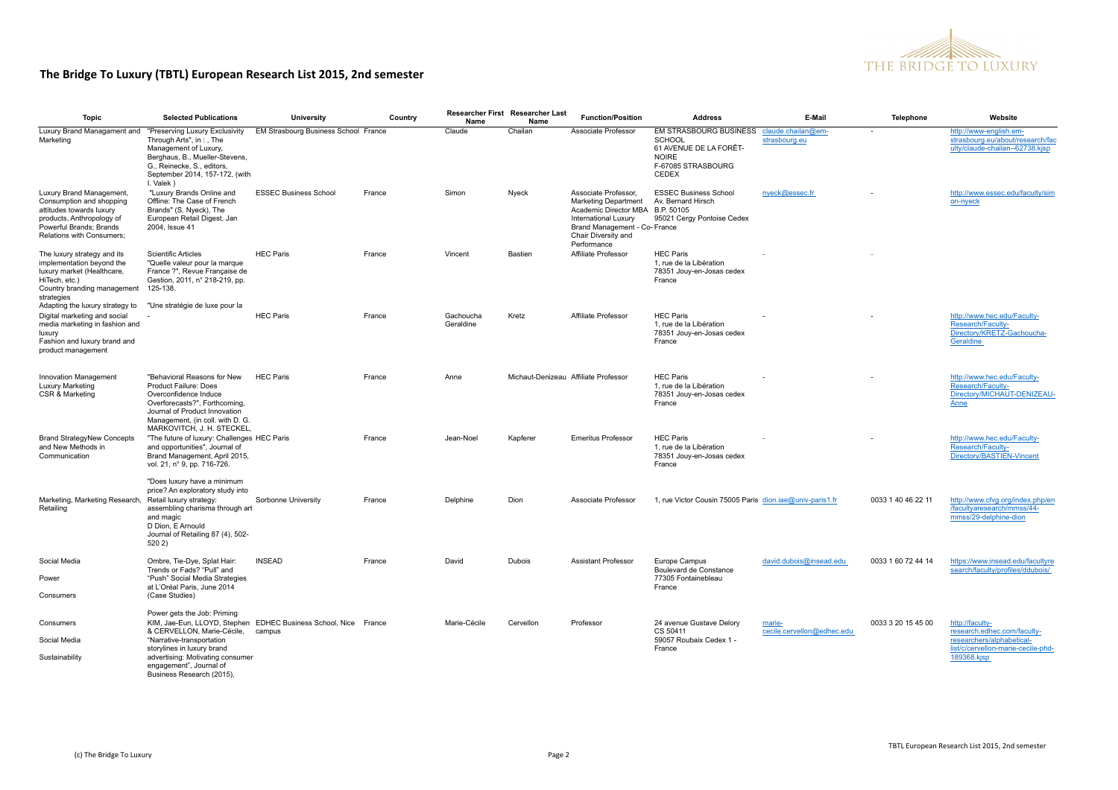

| Topic                                                                                                                                                                                   | <b>Selected Publications</b>                                                                                                                                                                                                                                                        | University                           | Country | Name                   | Researcher First Researcher Last<br>Name | <b>Function/Position</b>                                                                                                                                                                      | <b>Address</b>                                                                                                   | E-Mail                               | Telephone          | Website                                                                                                                          |
|-----------------------------------------------------------------------------------------------------------------------------------------------------------------------------------------|-------------------------------------------------------------------------------------------------------------------------------------------------------------------------------------------------------------------------------------------------------------------------------------|--------------------------------------|---------|------------------------|------------------------------------------|-----------------------------------------------------------------------------------------------------------------------------------------------------------------------------------------------|------------------------------------------------------------------------------------------------------------------|--------------------------------------|--------------------|----------------------------------------------------------------------------------------------------------------------------------|
| Luxury Brand Managament and "Preserving Luxury Exclusivity<br>Marketing                                                                                                                 | Through Arts", in:, The<br>Management of Luxury.<br>Berghaus, B., Mueller-Stevens,<br>G., Reinecke, S., editors,<br>September 2014, 157-172, (with<br>I. Valek)                                                                                                                     | EM Strasbourg Business School France |         | Claude                 | Chailan                                  | Associate Professor                                                                                                                                                                           | <b>EM STRASBOURG BUSINESS</b><br>SCHOOL<br>61 AVENUE DE LA FORÊT-<br><b>NOIRE</b><br>F-67085 STRASBOURG<br>CEDEX | claude.chailan@em-<br>strasbourg.eu  |                    | http://www-english.em-<br>strasbourg.eu/about/research/fac<br>ulty/claude-chailan--62738.kjsp                                    |
| Luxury Brand Management,<br>Consumption and shopping<br>attitudes towards luxury<br>products, Anthropology of<br>Powerful Brands; Brands<br>Relations with Consumers;                   | "Luxury Brands Online and<br>Offline: The Case of French<br>Brands" (S. Nyeck), The<br>European Retail Digest, Jan<br>2004, Issue 41                                                                                                                                                | <b>ESSEC Business School</b>         | France  | Simon                  | Nyeck                                    | Associate Professor,<br><b>Marketing Department</b><br>Academic Director MBA B.P. 50105<br><b>International Luxury</b><br>Brand Management - Co- France<br>Chair Diversity and<br>Performance | <b>ESSEC Business School</b><br>Av. Bernard Hirsch<br>95021 Cergy Pontoise Cedex                                 | nyeck@essec.fr                       |                    | http://www.essec.edu/faculty/sim<br>on-nyeck                                                                                     |
| The luxury strategy and its<br>implementation beyond the<br>luxury market (Healthcare,<br>HiTech, etc.)<br>Country branding management<br>strategies<br>Adapting the luxury strategy to | <b>Scientific Articles</b><br>"Quelle valeur pour la marque<br>France ?". Revue Francaise de<br>Gestion, 2011, n° 218-219, pp.<br>125-138.<br>"Une stratégie de luxe pour la                                                                                                        | <b>HEC Paris</b>                     | France  | Vincent                | Bastien                                  | Affiliate Professor                                                                                                                                                                           | <b>HEC Paris</b><br>1, rue de la Libération<br>78351 Jouy-en-Josas cedex<br>France                               |                                      |                    |                                                                                                                                  |
| Digital marketing and social<br>media marketing in fashion and<br>luxury<br>Fashion and luxury brand and<br>product management                                                          |                                                                                                                                                                                                                                                                                     | <b>HEC Paris</b>                     | France  | Gachoucha<br>Geraldine | Kretz                                    | Affiliate Professor                                                                                                                                                                           | <b>HEC Paris</b><br>1. rue de la Libération<br>78351 Jouy-en-Josas cedex<br>France                               |                                      |                    | http://www.hec.edu/Faculty-<br>Research/Faculty-<br>Directory/KRETZ-Gachoucha-<br>Geraldine                                      |
| <b>Innovation Management</b><br>Luxury Marketing<br>CSR & Marketing                                                                                                                     | "Behavioral Reasons for New<br>Product Failure: Does<br>Overconfidence Induce<br>Overforecasts?", Forthcoming,<br>Journal of Product Innovation<br>Management, (in coll. with D. G.<br>MARKOVITCH, J. H. STECKEL,                                                                   | <b>HEC Paris</b>                     | France  | Anne                   |                                          | Michaut-Denizeau Affiliate Professor                                                                                                                                                          | <b>HEC Paris</b><br>1, rue de la Libération<br>78351 Jouy-en-Josas cedex<br>France                               |                                      |                    | http://www.hec.edu/Faculty-<br>Research/Faculty-<br>Directory/MICHAUT-DENIZEAU-<br>Anne                                          |
| <b>Brand StrategyNew Concepts</b><br>and New Methods in<br>Communication                                                                                                                | "The future of luxury: Challenges HEC Paris<br>and opportunities". Journal of<br>Brand Management, April 2015,<br>vol. 21, n° 9, pp. 716-726.                                                                                                                                       |                                      | France  | Jean-Noel              | Kapferer                                 | <b>Emeritus Professor</b>                                                                                                                                                                     | <b>HEC Paris</b><br>1. rue de la Libération<br>78351 Jouy-en-Josas cedex<br>France                               |                                      |                    | http://www.hec.edu/Faculty-<br>Research/Faculty-<br>Directory/BASTIEN-Vincent                                                    |
| Marketing, Marketing Research, Retail luxury strategy:<br>Retailing                                                                                                                     | "Does luxury have a minimum<br>price? An exploratory study into<br>assembling charisma through art<br>and magic<br>D Dion, E Arnould<br>Journal of Retailing 87 (4), 502-<br>520 2)                                                                                                 | Sorbonne University                  | France  | Delphine               | Dion                                     | Associate Professor                                                                                                                                                                           | 1, rue Victor Cousin 75005 Paris dion.iae@univ-paris1.fr                                                         |                                      | 0033 1 40 46 22 11 | http://www.cfvg.org/index.php/en<br>/facultyaresearch/mmss/44-<br>mmss/29-delphine-dion                                          |
| Social Media                                                                                                                                                                            | Ombre, Tie-Dye, Splat Hair:<br>Trends or Fads? "Pull" and                                                                                                                                                                                                                           | <b>INSEAD</b>                        | France  | David                  | Dubois                                   | <b>Assistant Professor</b>                                                                                                                                                                    | Europe Campus<br>Boulevard de Constance                                                                          | david.dubois@insead.edu              | 0033 1 60 72 44 14 | https://www.insead.edu/facultyre<br>search/faculty/profiles/ddubois/                                                             |
| Power<br>Consumers                                                                                                                                                                      | "Push" Social Media Strategies<br>at L'Oréal Paris, June 2014<br>(Case Studies)                                                                                                                                                                                                     |                                      |         |                        |                                          |                                                                                                                                                                                               | 77305 Fontainebleau<br>France                                                                                    |                                      |                    |                                                                                                                                  |
| Consumers<br>Social Media<br>Sustainability                                                                                                                                             | Power gets the Job: Priming<br>KIM, Jae-Eun, LLOYD, Stephen EDHEC Business School, Nice France<br>& CERVELLON, Marie-Cécile,<br>"Narrative-transportation<br>storylines in luxury brand<br>advertising: Motivating consumer<br>engagement", Journal of<br>Business Research (2015), | campus                               |         | Marie-Cécile           | Cervellon                                | Professor                                                                                                                                                                                     | 24 avenue Gustave Delory<br>CS 50411<br>59057 Roubaix Cedex 1 -<br>France                                        | marie-<br>cecile.cervellon@edhec.edu | 0033 3 20 15 45 00 | http://faculty-<br>research.edhec.com/faculty-<br>researchers/alphabetical-<br>list/c/cervellon-marie-cecile-phd-<br>189368.kjsp |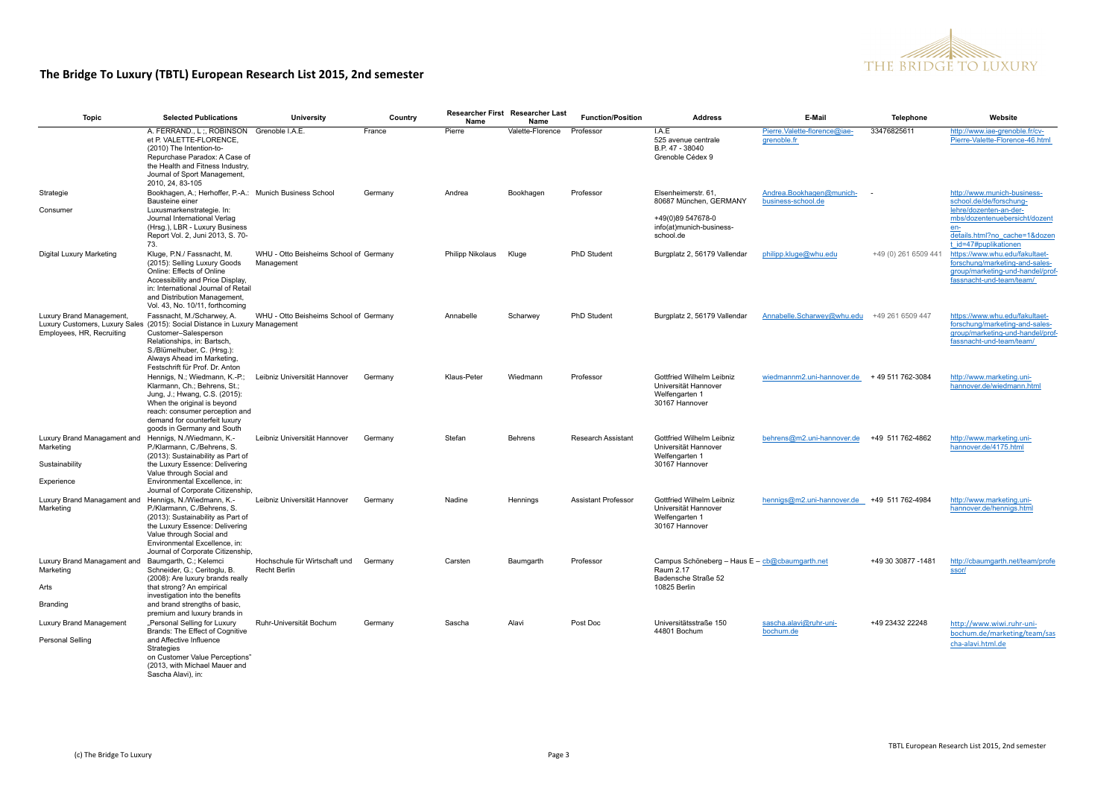

| <b>Topic</b>                                                                                       | <b>Selected Publications</b>                                                                                                                                                                                                                                     | University                                           | Country | Name             | <b>Researcher First Researcher Last</b><br>Name | <b>Function/Position</b>   | <b>Address</b>                                                                                     | E-Mail                                         | Telephone            | Website                                                                                                                          |
|----------------------------------------------------------------------------------------------------|------------------------------------------------------------------------------------------------------------------------------------------------------------------------------------------------------------------------------------------------------------------|------------------------------------------------------|---------|------------------|-------------------------------------------------|----------------------------|----------------------------------------------------------------------------------------------------|------------------------------------------------|----------------------|----------------------------------------------------------------------------------------------------------------------------------|
|                                                                                                    | A. FERRAND., L ., ROBINSON<br>et P. VALETTE-FLORENCE,<br>(2010) The Intention-to-<br>Repurchase Paradox: A Case of<br>the Health and Fitness Industry,<br>Journal of Sport Management,<br>2010, 24, 83-105                                                       | Grenoble I.A.E.                                      | France  | Pierre           | Valette-Florence                                | Professor                  | LAE<br>525 avenue centrale<br>B.P. 47 - 38040<br>Grenoble Cédex 9                                  | Pierre.Valette-florence@iae-<br>grenoble.fr    | 33476825611          | http://www.iae-grenoble.fr/cv-<br>Pierre-Valette-Florence-46.html                                                                |
| Strategie<br>Consumer                                                                              | Bookhagen, A.; Herhoffer, P.-A.: Munich Business School<br>Bausteine einer<br>Luxusmarkenstrategie. In:                                                                                                                                                          |                                                      | Germany | Andrea           | Bookhagen                                       | Professor                  | Elsenheimerstr. 61<br>80687 München, GERMANY                                                       | Andrea.Bookhagen@munich-<br>business-school.de |                      | http://www.munich-business-<br>school.de/de/forschung-<br>lehre/dozenten-an-der-                                                 |
|                                                                                                    | Journal International Verlag<br>(Hrsg.), LBR - Luxury Business<br>Report Vol. 2, Juni 2013, S. 70-<br>73.                                                                                                                                                        |                                                      |         |                  |                                                 |                            | +49(0)89 547678-0<br>info(at)munich-business-<br>school.de                                         |                                                |                      | mbs/dozentenuebersicht/dozent<br>en-<br>details.html?no cache=1&dozen<br>t id=47#puplikationen                                   |
| Digital Luxury Marketing                                                                           | Kluge, P.N./ Fassnacht, M.<br>(2015): Selling Luxury Goods<br>Online: Effects of Online<br>Accessibility and Price Display,<br>in: International Journal of Retail<br>and Distribution Management,<br>Vol. 43, No. 10/11, forthcoming                            | WHU - Otto Beisheims School of Germany<br>Management |         | Philipp Nikolaus | Kluge                                           | PhD Student                | Burgplatz 2, 56179 Vallendar                                                                       | philipp.kluge@whu.edu                          | +49 (0) 261 6509 441 | https://www.whu.edu/fakultaet-<br>forschung/marketing-and-sales-<br>group/marketing-und-handel/prof-<br>fassnacht-und-team/team/ |
| Luxury Brand Management,<br>Employees, HR, Recruiting                                              | Fassnacht, M./Scharwey, A.<br>Luxury Customers, Luxury Sales (2015): Social Distance in Luxury Management<br>Customer-Salesperson<br>Relationships, in: Bartsch,<br>S./Blümelhuber, C. (Hrsg.):<br>Always Ahead im Marketing,<br>Festschrift für Prof. Dr. Anton | WHU - Otto Beisheims School of Germany               |         | Annabelle        | Scharwey                                        | PhD Student                | Burgplatz 2, 56179 Vallendar                                                                       | Annabelle.Scharwey@whu.edu                     | +49 261 6509 447     | https://www.whu.edu/fakultaet-<br>forschung/marketing-and-sales-<br>group/marketing-und-handel/prof-<br>fassnacht-und-team/team/ |
|                                                                                                    | Hennigs, N.; Wiedmann, K.-P.;<br>Klarmann, Ch.; Behrens, St.;<br>Jung, J.; Hwang, C.S. (2015):<br>When the original is beyond<br>reach: consumer perception and<br>demand for counterfeit luxury<br>goods in Germany and South                                   | Leibniz Universität Hannover                         | Germany | Klaus-Peter      | Wiedmann                                        | Professor                  | Gottfried Wilhelm Leibniz<br>Universität Hannover<br>Welfengarten 1<br>30167 Hannover              | wiedmannm2.uni-hannover.de                     | +49 511 762-3084     | http://www.marketing.uni-<br>hannover.de/wiedmann.htm                                                                            |
| Luxury Brand Managament and Hennigs, N./Wiedmann, K.-<br>Marketing<br>Sustainability<br>Experience | P./Klarmann, C./Behrens, S.<br>(2013): Sustainability as Part of<br>the Luxury Essence: Delivering<br>Value through Social and<br>Environmental Excellence, in:                                                                                                  | Leibniz Universität Hannover                         | Germany | Stefan           | Behrens                                         | <b>Research Assistant</b>  | Gottfried Wilhelm Leibniz<br>Universität Hannover<br>Welfengarten 1<br>30167 Hannover              | behrens@m2.uni-hannover.de                     | +49 511 762-4862     | http://www.marketing.uni-<br>hannover.de/4175.html                                                                               |
| Luxury Brand Managament and Hennigs, N./Wiedmann, K.-<br>Marketing                                 | Journal of Corporate Citizenship,<br>P./Klarmann, C./Behrens, S.<br>(2013): Sustainability as Part of<br>the Luxury Essence: Delivering<br>Value through Social and<br>Environmental Excellence, in:<br>Journal of Corporate Citizenship,                        | Leibniz Universität Hannover                         | Germany | Nadine           | Hennings                                        | <b>Assistant Professor</b> | Gottfried Wilhelm Leibniz<br>Universität Hannover<br>Welfengarten 1<br>30167 Hannover              | hennigs@m2.uni-hannover.de +49 511 762-4984    |                      | http://www.marketing.uni-<br>hannover.de/hennigs.html                                                                            |
| Luxury Brand Managament and Baumgarth, C.; Kelemci<br>Marketing<br>Arts<br>Branding                | Schneider, G.; Ceritoglu, B.<br>(2008): Are luxury brands really<br>that strong? An empirical<br>investigation into the benefits<br>and brand strengths of basic,<br>premium and luxury brands in                                                                | Hochschule für Wirtschaft und<br><b>Recht Berlin</b> | Germany | Carsten          | Baumgarth                                       | Professor                  | Campus Schöneberg - Haus E - cb@cbaumgarth.net<br>Raum 2.17<br>Badensche Straße 52<br>10825 Berlin |                                                | +49 30 30877 -1481   | http://cbaumgarth.net/team/profe<br>ssor/                                                                                        |
| Luxury Brand Management<br>Personal Selling                                                        | "Personal Selling for Luxury<br>Brands: The Effect of Cognitive<br>and Affective Influence<br>Strategies<br>on Customer Value Perceptions"<br>(2013, with Michael Mauer and<br>Sascha Alavi), in:                                                                | Ruhr-Universität Bochum                              | Germany | Sascha           | Alavi                                           | Post Doc                   | Universitätsstraße 150<br>44801 Bochum                                                             | sascha.alavi@ruhr-uni-<br>bochum.de            | +49 23432 22248      | http://www.wiwi.ruhr-uni-<br>bochum.de/marketing/team/sas<br>cha-alavi.html.de                                                   |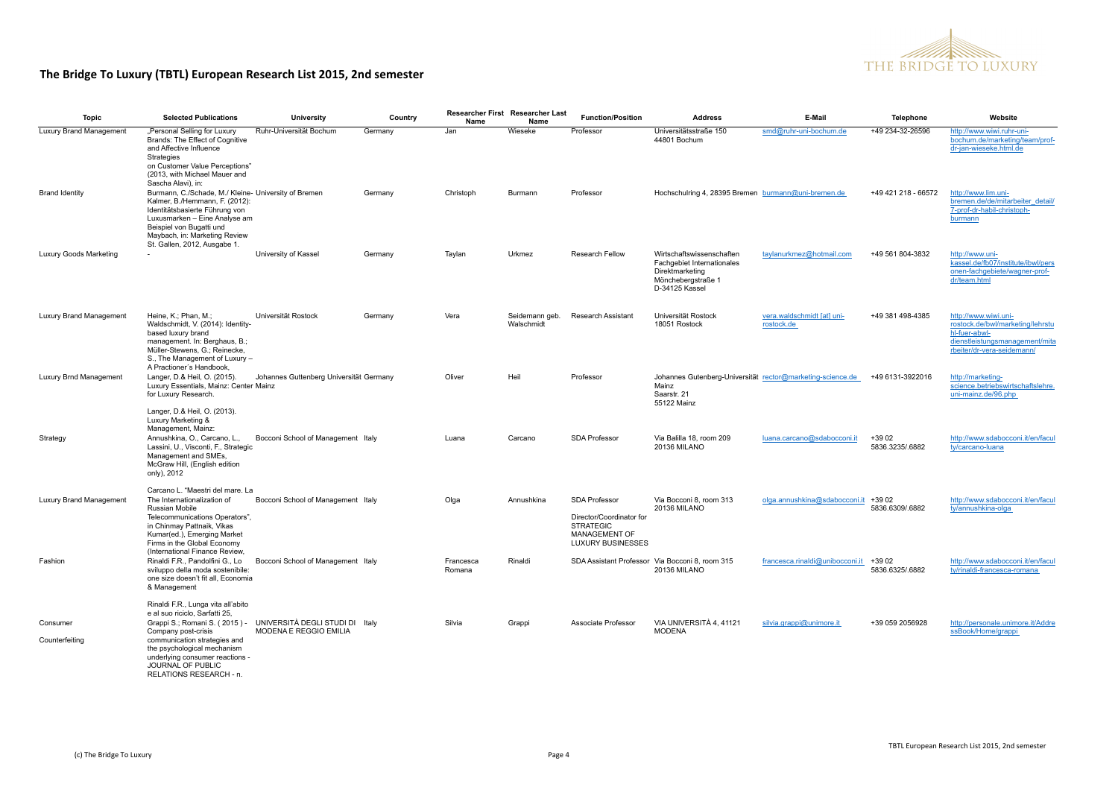

| <b>Topic</b>                   | <b>Selected Publications</b>                                                                                                                                                                                                                                                   | University                                                | Country | Name                | Researcher First Researcher Last<br>Name | <b>Function/Position</b>                                                                                          | <b>Address</b>                                                                                                     | E-Mail                                   | <b>Telephone</b>           | Website                                                                                                                                   |
|--------------------------------|--------------------------------------------------------------------------------------------------------------------------------------------------------------------------------------------------------------------------------------------------------------------------------|-----------------------------------------------------------|---------|---------------------|------------------------------------------|-------------------------------------------------------------------------------------------------------------------|--------------------------------------------------------------------------------------------------------------------|------------------------------------------|----------------------------|-------------------------------------------------------------------------------------------------------------------------------------------|
| <b>Luxury Brand Management</b> | "Personal Selling for Luxury<br>Brands: The Effect of Cognitive<br>and Affective Influence<br>Strategies<br>on Customer Value Perceptions"<br>(2013, with Michael Mauer and<br>Sascha Alavi), in:                                                                              | Ruhr-Universität Bochum                                   | Germany | Jan                 | Wieseke                                  | Professor                                                                                                         | Universitätsstraße 150<br>44801 Bochum                                                                             | smd@ruhr-uni-bochum.de                   | +49 234-32-26596           | http://www.wiwi.ruhr-uni-<br>bochum.de/marketing/team/prof-<br>dr-jan-wieseke.html.de                                                     |
| <b>Brand Identity</b>          | Burmann, C./Schade, M./ Kleine- University of Bremen<br>Kalmer, B./Hemmann, F. (2012):<br>Identitätsbasierte Führung von<br>Luxusmarken - Eine Analyse am<br>Beispiel von Bugatti und<br>Maybach, in: Marketing Review<br>St. Gallen, 2012, Ausgabe 1.                         |                                                           | Germany | Christoph           | Burmann                                  | Professor                                                                                                         | Hochschulring 4, 28395 Bremen burmann@uni-bremen.de                                                                |                                          | +49 421 218 - 66572        | http://www.lim.uni-<br>bremen.de/de/mitarbeiter detail/<br>7-prof-dr-habil-christoph-<br>burmann                                          |
| Luxury Goods Marketing         |                                                                                                                                                                                                                                                                                | University of Kassel                                      | Germany | Taylan              | Urkmez                                   | <b>Research Fellow</b>                                                                                            | Wirtschaftswissenschaften<br>Fachgebiet Internationales<br>Direktmarketing<br>Mönchebergstraße 1<br>D-34125 Kassel | taylanurkmez@hotmail.com                 | +49 561 804-3832           | http://www.uni-<br>kassel.de/fb07/institute/ibwl/pers<br>onen-fachgebiete/wagner-prof-<br>dr/team.html                                    |
| Luxury Brand Management        | Heine, K.: Phan, M.:<br>Waldschmidt, V. (2014): Identity-<br>based luxury brand<br>management. In: Berghaus, B.;<br>Müller-Stewens, G.: Reinecke,<br>S., The Management of Luxury -                                                                                            | Universität Rostock                                       | Germany | Vera                | Seidemann geb.<br>Walschmidt             | <b>Research Assistant</b>                                                                                         | Universität Rostock<br>18051 Rostock                                                                               | vera.waldschmidt [at] uni-<br>rostock.de | +49 381 498-4385           | http://www.wiwi.uni-<br>rostock.de/bwl/marketing/lehrstu<br>hl-fuer-abwl-<br>dienstleistungsmanagement/mita<br>rbeiter/dr-vera-seidemann/ |
| Luxury Brnd Management         | A Practioner's Handbook,<br>Langer, D.& Heil, O. (2015).<br>Luxury Essentials, Mainz: Center Mainz<br>for Luxury Research.<br>Langer, D.& Heil, O. (2013).<br>Luxury Marketing &                                                                                               | Johannes Guttenberg Universität Germany                   |         | Oliver              | Heil                                     | Professor                                                                                                         | Johannes Gutenberg-Universität rector@marketing-science.de<br>Mainz<br>Saarstr. 21<br>55122 Mainz                  |                                          | +49 6131-3922016           | http://marketing-<br>science.betriebswirtschaftslehre.<br>uni-mainz.de/96.php                                                             |
| Strategy                       | Management, Mainz:<br>Annushkina, O., Carcano, L.,<br>Lassini, U., Visconti, F., Strategic<br>Management and SMEs,<br>McGraw Hill, (English edition<br>only), 2012                                                                                                             | Bocconi School of Management Italy                        |         | Luana               | Carcano                                  | <b>SDA Professor</b>                                                                                              | Via Balilla 18, room 209<br>20136 MILANO                                                                           | luana.carcano@sdabocconi.it              | $+3902$<br>5836.3235/.6882 | http://www.sdabocconi.it/en/facul<br>ty/carcano-luana                                                                                     |
| Luxury Brand Management        | Carcano L. "Maestri del mare. La<br>The Internationalization of<br>Russian Mobile<br>Telecommunications Operators",<br>in Chinmay Pattnaik, Vikas<br>Kumar(ed.), Emerging Market<br>Firms in the Global Economy<br>(International Finance Review,                              | Bocconi School of Management Italy                        |         | Olga                | Annushkina                               | <b>SDA Professor</b><br>Director/Coordinator for<br><b>STRATEGIC</b><br>MANAGEMENT OF<br><b>LUXURY BUSINESSES</b> | Via Bocconi 8, room 313<br><b>20136 MILANO</b>                                                                     | olga.annushkina@sdabocconi.it            | +39 02<br>5836.6309/.6882  | http://www.sdabocconi.it/en/facul<br>ty/annushkina-olga                                                                                   |
| Fashion                        | Rinaldi F.R., Pandolfini G., Lo<br>sviluppo della moda sostenibile:<br>one size doesn't fit all, Economia<br>& Management                                                                                                                                                      | Bocconi School of Management Italy                        |         | Francesca<br>Romana | Rinaldi                                  |                                                                                                                   | SDA Assistant Professor Via Bocconi 8, room 315<br><b>20136 MILANO</b>                                             | francesca.rinaldi@unibocconi.it          | +39 02<br>5836.6325/.6882  | http://www.sdabocconi.it/en/facul<br>ty/rinaldi-francesca-romana                                                                          |
| Consumer<br>Counterfeiting     | Rinaldi F.R., Lunga vita all'abito<br>e al suo riciclo, Sarfatti 25,<br>Grappi S.; Romani S. (2015) -<br>Company post-crisis<br>communication strategies and<br>the psychological mechanism<br>underlying consumer reactions -<br>JOURNAL OF PUBLIC<br>RELATIONS RESEARCH - n. | UNIVERSITÀ DEGLI STUDI DI Italv<br>MODENA E REGGIO EMILIA |         | Silvia              | Grappi                                   | Associate Professor                                                                                               | VIA UNIVERSITÀ 4.41121<br><b>MODENA</b>                                                                            | silvia.grappi@unimore.it                 | +39 059 2056928            | http://personale.unimore.it/Addre<br>ssBook/Home/grappi                                                                                   |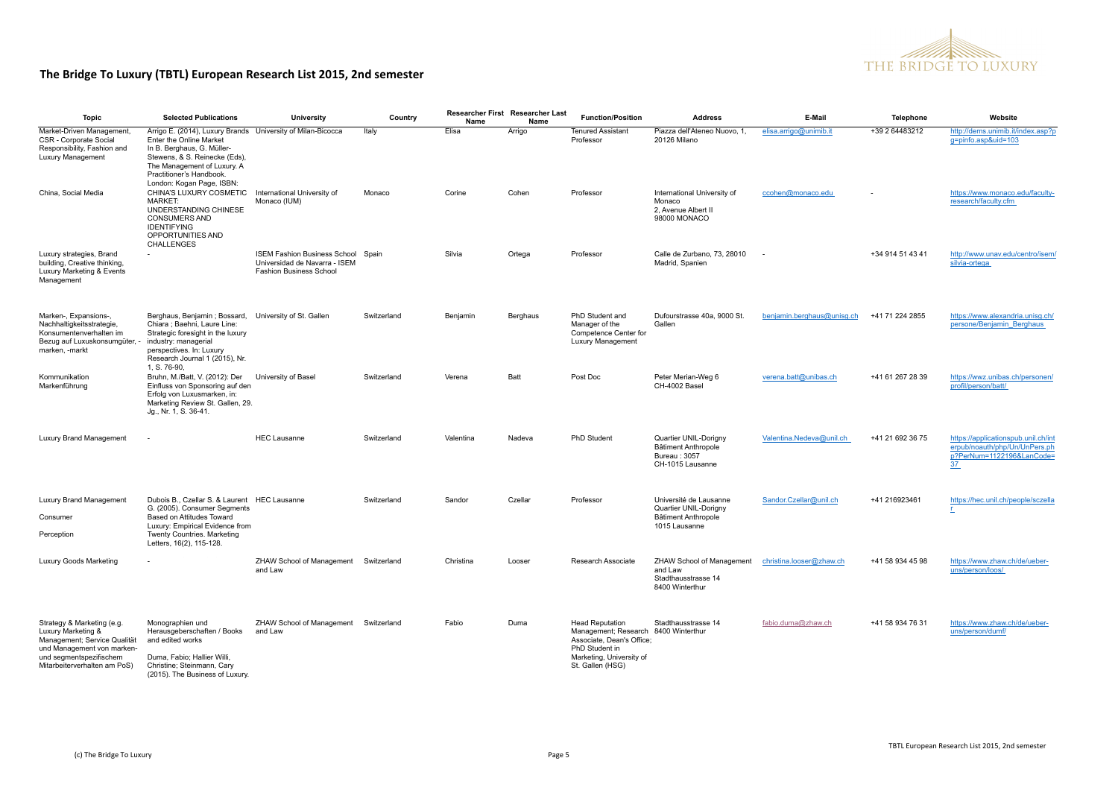

| Topic                                                                                                                                                                     | <b>Selected Publications</b>                                                                                                                                                                                                                  | University                                                                                            | Country     | Name      | <b>Researcher First Researcher Last</b><br>Name | <b>Function/Position</b>                                                                                                                                      | <b>Address</b>                                                                                 | E-Mail                     | Telephone        | Website                                                                                                 |
|---------------------------------------------------------------------------------------------------------------------------------------------------------------------------|-----------------------------------------------------------------------------------------------------------------------------------------------------------------------------------------------------------------------------------------------|-------------------------------------------------------------------------------------------------------|-------------|-----------|-------------------------------------------------|---------------------------------------------------------------------------------------------------------------------------------------------------------------|------------------------------------------------------------------------------------------------|----------------------------|------------------|---------------------------------------------------------------------------------------------------------|
| Market-Driven Management<br>CSR - Corporate Social<br>Responsibility, Fashion and<br>Luxury Management                                                                    | Arrigo E. (2014), Luxury Brands University of Milan-Bicocca<br>Enter the Online Market<br>In B. Berghaus, G. Müller-<br>Stewens, & S. Reinecke (Eds),<br>The Management of Luxury. A<br>Practitioner's Handbook.<br>London: Kogan Page, ISBN: |                                                                                                       | Italy       | Elisa     | Arrigo                                          | <b>Tenured Assistant</b><br>Professor                                                                                                                         | Piazza dell'Ateneo Nuovo, 1,<br>20126 Milano                                                   | elisa.arrigo@unimib.it     | +39 2 64483212   | http://dems.unimib.it/index.asp?p<br>g=pinfo.asp&uid=103                                                |
| China, Social Media                                                                                                                                                       | CHINA'S LUXURY COSMETIC<br><b>MARKET:</b><br>UNDERSTANDING CHINESE<br>CONSUMERS AND<br><b>IDENTIFYING</b><br>OPPORTUNITIES AND<br>CHALLENGES                                                                                                  | International University of<br>Monaco (IUM)                                                           | Monaco      | Corine    | Cohen                                           | Professor                                                                                                                                                     | International University of<br>Monaco<br>2, Avenue Albert II<br>98000 MONACO                   | ccohen@monaco.edu          |                  | https://www.monaco.edu/faculty-<br>research/faculty.cfm                                                 |
| Luxury strategies, Brand<br>building, Creative thinking,<br>Luxury Marketing & Events<br>Management                                                                       |                                                                                                                                                                                                                                               | ISEM Fashion Business School Spain<br>Universidad de Navarra - ISEM<br><b>Fashion Business School</b> |             | Silvia    | Ortega                                          | Professor                                                                                                                                                     | Calle de Zurbano, 73, 28010<br>Madrid, Spanien                                                 |                            | +34 914 51 43 41 | http://www.unav.edu/centro/isem/<br>silvia-ortega                                                       |
| Marken-, Expansions-,<br>Nachhaltigkeitsstrategie,<br>Konsumentenverhalten im<br>Bezug auf Luxuskonsumgüter, -<br>marken, -markt                                          | Berghaus, Benjamin; Bossard, University of St. Gallen<br>Chiara ; Baehni, Laure Line:<br>Strategic foresight in the luxury<br>industry: managerial<br>perspectives. In: Luxury<br>Research Journal 1 (2015), Nr.<br>1, S. 76-90.              |                                                                                                       | Switzerland | Benjamin  | Berghaus                                        | PhD Student and<br>Manager of the<br>Competence Center for<br>Luxury Management                                                                               | Dufourstrasse 40a, 9000 St.<br>Gallen                                                          | benjamin.berghaus@unisg.ch | +41 71 224 2855  | https://www.alexandria.unisg.ch/<br>persone/Benjamin Berghaus                                           |
| Kommunikation<br>Markenführung                                                                                                                                            | Bruhn, M./Batt, V. (2012): Der<br>Einfluss von Sponsoring auf den<br>Erfolg von Luxusmarken, in:<br>Marketing Review St. Gallen, 29.<br>Jg., Nr. 1, S. 36-41.                                                                                 | University of Basel                                                                                   | Switzerland | Verena    | Batt                                            | Post Doc                                                                                                                                                      | Peter Merian-Weg 6<br>CH-4002 Basel                                                            | verena.batt@unibas.ch      | +41 61 267 28 39 | https://wwz.unibas.ch/personen/<br>profil/person/batt/                                                  |
| Luxury Brand Management                                                                                                                                                   |                                                                                                                                                                                                                                               | <b>HEC Lausanne</b>                                                                                   | Switzerland | Valentina | Nadeva                                          | PhD Student                                                                                                                                                   | Quartier UNIL-Dorigny<br><b>Bâtiment Anthropole</b><br>Bureau: 3057<br>CH-1015 Lausanne        | Valentina.Nedeva@unil.ch   | +41 21 692 36 75 | https://applicationspub.unil.ch/int<br>erpub/noauth/php/Un/UnPers.ph<br>p?PerNum=1122196&LanCode=<br>37 |
| Luxury Brand Management<br>Consumer<br>Perception                                                                                                                         | Dubois B., Czellar S. & Laurent HEC Lausanne<br>G. (2005). Consumer Segments<br>Based on Attitudes Toward<br>Luxury: Empirical Evidence from<br>Twenty Countries. Marketing<br>Letters, 16(2), 115-128.                                       |                                                                                                       | Switzerland | Sandor    | Czellar                                         | Professor                                                                                                                                                     | Université de Lausanne<br>Quartier UNIL-Dorigny<br><b>Bâtiment Anthropole</b><br>1015 Lausanne | Sandor.Czellar@unil.ch     | +41 216923461    | https://hec.unil.ch/people/sczella<br>r.                                                                |
| Luxury Goods Marketing                                                                                                                                                    |                                                                                                                                                                                                                                               | ZHAW School of Management Switzerland<br>and Law                                                      |             | Christina | Looser                                          | Research Associate                                                                                                                                            | ZHAW School of Management<br>and Law<br>Stadthausstrasse 14<br>8400 Winterthur                 | christina.looser@zhaw.ch   | +41 58 934 45 98 | https://www.zhaw.ch/de/ueber-<br>uns/person/loos/                                                       |
| Strategy & Marketing (e.g.<br>Luxury Marketing &<br>Management; Service Qualität<br>und Management von marken-<br>und segmentspezifischem<br>Mitarbeiterverhalten am PoS) | Monographien und<br>Herausgeberschaften / Books<br>and edited works<br>Duma, Fabio; Hallier Willi,<br>Christine; Steinmann, Cary<br>(2015). The Business of Luxury.                                                                           | ZHAW School of Management Switzerland<br>and Law                                                      |             | Fabio     | Duma                                            | <b>Head Reputation</b><br>Management; Research 8400 Winterthur<br>Associate, Dean's Office;<br>PhD Student in<br>Marketing, University of<br>St. Gallen (HSG) | Stadthausstrasse 14                                                                            | fabio.duma@zhaw.ch         | +41 58 934 76 31 | https://www.zhaw.ch/de/ueber-<br>uns/person/dumf/                                                       |

In: SML essentials. Zürich: vdf.